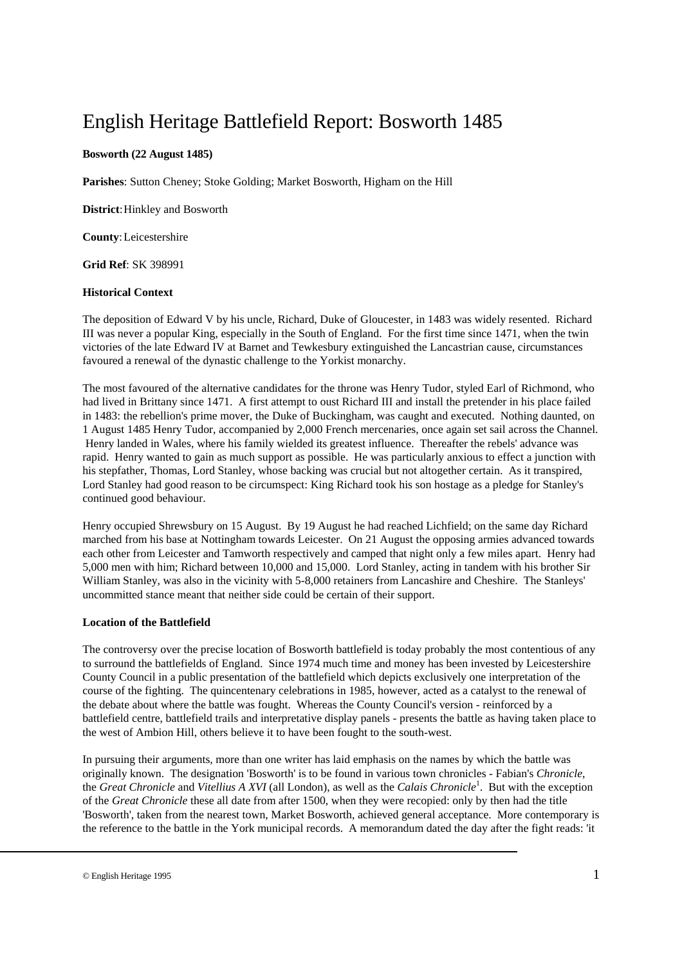# English Heritage Battlefield Report: Bosworth 1485

# **Bosworth (22 August 1485)**

**Parishes**: Sutton Cheney; Stoke Golding; Market Bosworth, Higham on the Hill

**District**: Hinkley and Bosworth

**County**: Leicestershire

**Grid Ref**: SK 398991

# **Historical Context**

The deposition of Edward V by his uncle, Richard, Duke of Gloucester, in 1483 was widely resented. Richard III was never a popular King, especially in the South of England. For the first time since 1471, when the twin victories of the late Edward IV at Barnet and Tewkesbury extinguished the Lancastrian cause, circumstances favoured a renewal of the dynastic challenge to the Yorkist monarchy.

The most favoured of the alternative candidates for the throne was Henry Tudor, styled Earl of Richmond, who had lived in Brittany since 1471. A first attempt to oust Richard III and install the pretender in his place failed in 1483: the rebellion's prime mover, the Duke of Buckingham, was caught and executed. Nothing daunted, on 1 August 1485 Henry Tudor, accompanied by 2,000 French mercenaries, once again set sail across the Channel. Henry landed in Wales, where his family wielded its greatest influence. Thereafter the rebels' advance was rapid. Henry wanted to gain as much support as possible. He was particularly anxious to effect a junction with his stepfather, Thomas, Lord Stanley, whose backing was crucial but not altogether certain. As it transpired, Lord Stanley had good reason to be circumspect: King Richard took his son hostage as a pledge for Stanley's continued good behaviour.

Henry occupied Shrewsbury on 15 August. By 19 August he had reached Lichfield; on the same day Richard marched from his base at Nottingham towards Leicester. On 21 August the opposing armies advanced towards each other from Leicester and Tamworth respectively and camped that night only a few miles apart. Henry had 5,000 men with him; Richard between 10,000 and 15,000. Lord Stanley, acting in tandem with his brother Sir William Stanley, was also in the vicinity with 5-8,000 retainers from Lancashire and Cheshire. The Stanleys' uncommitted stance meant that neither side could be certain of their support.

## **Location of the Battlefield**

The controversy over the precise location of Bosworth battlefield is today probably the most contentious of any to surround the battlefields of England. Since 1974 much time and money has been invested by Leicestershire County Council in a public presentation of the battlefield which depicts exclusively one interpretation of the course of the fighting. The quincentenary celebrations in 1985, however, acted as a catalyst to the renewal of the debate about where the battle was fought. Whereas the County Council's version - reinforced by a battlefield centre, battlefield trails and interpretative display panels - presents the battle as having taken place to the west of Ambion Hill, others believe it to have been fought to the south-west.

In pursuing their arguments, more than one writer has laid emphasis on the names by which the battle was originally known. The designation 'Bosworth' is to be found in various town chronicles - Fabian's *Chronicle*, the *Great Chronicle* and *Vitellius A XVI* (all London), as well as the *Calais Chronicle*<sup>1</sup>. But with the exception of the *Great Chronicle* these all date from after 1500, when they were recopied: only by then had the title 'Bosworth', taken from the nearest town, Market Bosworth, achieved general acceptance. More contemporary is the reference to the battle in the York municipal records. A memorandum dated the day after the fight reads: 'it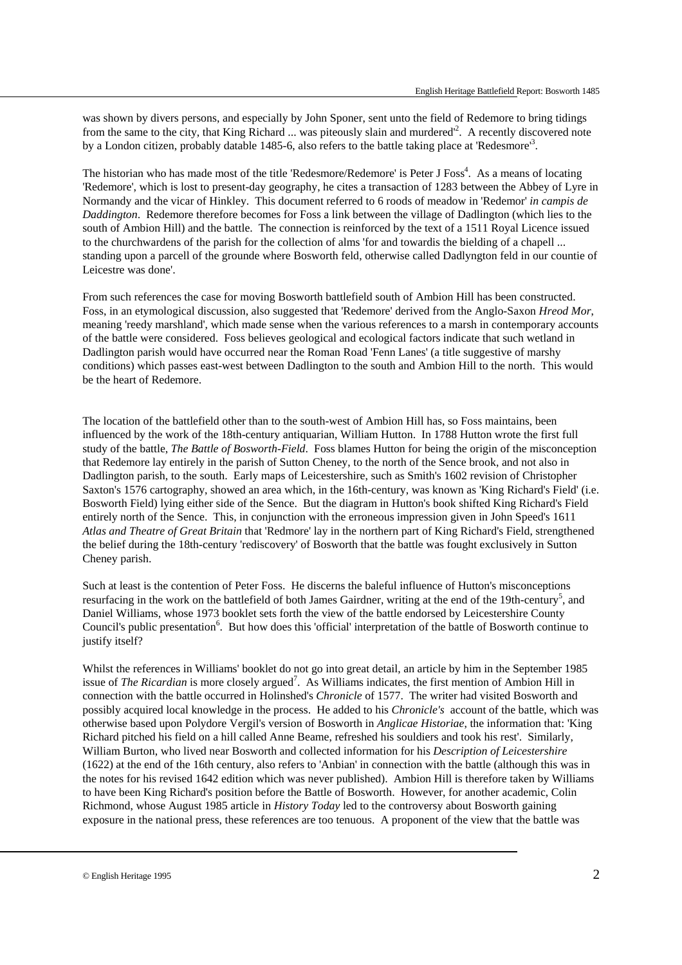was shown by divers persons, and especially by John Sponer, sent unto the field of Redemore to bring tidings from the same to the city, that King Richard ... was piteously slain and murdered<sup>2</sup>. A recently discovered note by a London citizen, probably datable 1485-6, also refers to the battle taking place at 'Redesmore<sup>3</sup>.

The historian who has made most of the title 'Redesmore/Redemore' is Peter J Foss<sup>4</sup>. As a means of locating 'Redemore', which is lost to present-day geography, he cites a transaction of 1283 between the Abbey of Lyre in Normandy and the vicar of Hinkley. This document referred to 6 roods of meadow in 'Redemor' *in campis de Daddington*. Redemore therefore becomes for Foss a link between the village of Dadlington (which lies to the south of Ambion Hill) and the battle. The connection is reinforced by the text of a 1511 Royal Licence issued to the churchwardens of the parish for the collection of alms 'for and towardis the bielding of a chapell ... standing upon a parcell of the grounde where Bosworth feld, otherwise called Dadlyngton feld in our countie of Leicestre was done'.

From such references the case for moving Bosworth battlefield south of Ambion Hill has been constructed. Foss, in an etymological discussion, also suggested that 'Redemore' derived from the Anglo-Saxon *Hreod Mor*, meaning 'reedy marshland', which made sense when the various references to a marsh in contemporary accounts of the battle were considered. Foss believes geological and ecological factors indicate that such wetland in Dadlington parish would have occurred near the Roman Road 'Fenn Lanes' (a title suggestive of marshy conditions) which passes east-west between Dadlington to the south and Ambion Hill to the north. This would be the heart of Redemore.

The location of the battlefield other than to the south-west of Ambion Hill has, so Foss maintains, been influenced by the work of the 18th-century antiquarian, William Hutton. In 1788 Hutton wrote the first full study of the battle, *The Battle of Bosworth-Field*. Foss blames Hutton for being the origin of the misconception that Redemore lay entirely in the parish of Sutton Cheney, to the north of the Sence brook, and not also in Dadlington parish, to the south. Early maps of Leicestershire, such as Smith's 1602 revision of Christopher Saxton's 1576 cartography, showed an area which, in the 16th-century, was known as 'King Richard's Field' (i.e. Bosworth Field) lying either side of the Sence. But the diagram in Hutton's book shifted King Richard's Field entirely north of the Sence. This, in conjunction with the erroneous impression given in John Speed's 1611 *Atlas and Theatre of Great Britain* that 'Redmore' lay in the northern part of King Richard's Field, strengthened the belief during the 18th-century 'rediscovery' of Bosworth that the battle was fought exclusively in Sutton Cheney parish.

Such at least is the contention of Peter Foss. He discerns the baleful influence of Hutton's misconceptions resurfacing in the work on the battlefield of both James Gairdner, writing at the end of the 19th-century<sup>5</sup>, and Daniel Williams, whose 1973 booklet sets forth the view of the battle endorsed by Leicestershire County Council's public presentation<sup>6</sup>. But how does this 'official' interpretation of the battle of Bosworth continue to justify itself?

Whilst the references in Williams' booklet do not go into great detail, an article by him in the September 1985 issue of *The Ricardian* is more closely argued<sup>7</sup>. As Williams indicates, the first mention of Ambion Hill in connection with the battle occurred in Holinshed's *Chronicle* of 1577. The writer had visited Bosworth and possibly acquired local knowledge in the process. He added to his *Chronicle's* account of the battle, which was otherwise based upon Polydore Vergil's version of Bosworth in *Anglicae Historiae*, the information that: 'King Richard pitched his field on a hill called Anne Beame, refreshed his souldiers and took his rest'. Similarly, William Burton, who lived near Bosworth and collected information for his *Description of Leicestershire* (1622) at the end of the 16th century, also refers to 'Anbian' in connection with the battle (although this was in the notes for his revised 1642 edition which was never published). Ambion Hill is therefore taken by Williams to have been King Richard's position before the Battle of Bosworth. However, for another academic, Colin Richmond, whose August 1985 article in *History Today* led to the controversy about Bosworth gaining exposure in the national press, these references are too tenuous. A proponent of the view that the battle was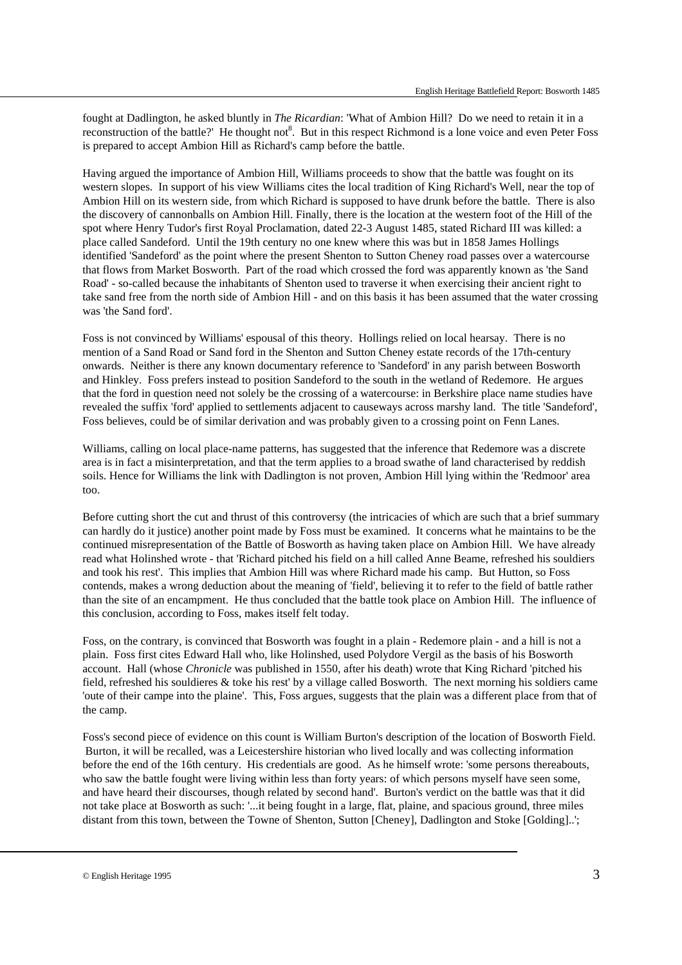fought at Dadlington, he asked bluntly in *The Ricardian*: 'What of Ambion Hill? Do we need to retain it in a reconstruction of the battle?' He thought not<sup>8</sup>. But in this respect Richmond is a lone voice and even Peter Foss is prepared to accept Ambion Hill as Richard's camp before the battle.

Having argued the importance of Ambion Hill, Williams proceeds to show that the battle was fought on its western slopes. In support of his view Williams cites the local tradition of King Richard's Well, near the top of Ambion Hill on its western side, from which Richard is supposed to have drunk before the battle. There is also the discovery of cannonballs on Ambion Hill. Finally, there is the location at the western foot of the Hill of the spot where Henry Tudor's first Royal Proclamation, dated 22-3 August 1485, stated Richard III was killed: a place called Sandeford. Until the 19th century no one knew where this was but in 1858 James Hollings identified 'Sandeford' as the point where the present Shenton to Sutton Cheney road passes over a watercourse that flows from Market Bosworth. Part of the road which crossed the ford was apparently known as 'the Sand Road' - so-called because the inhabitants of Shenton used to traverse it when exercising their ancient right to take sand free from the north side of Ambion Hill - and on this basis it has been assumed that the water crossing was 'the Sand ford'.

Foss is not convinced by Williams' espousal of this theory. Hollings relied on local hearsay. There is no mention of a Sand Road or Sand ford in the Shenton and Sutton Cheney estate records of the 17th-century onwards. Neither is there any known documentary reference to 'Sandeford' in any parish between Bosworth and Hinkley. Foss prefers instead to position Sandeford to the south in the wetland of Redemore. He argues that the ford in question need not solely be the crossing of a watercourse: in Berkshire place name studies have revealed the suffix 'ford' applied to settlements adjacent to causeways across marshy land. The title 'Sandeford', Foss believes, could be of similar derivation and was probably given to a crossing point on Fenn Lanes.

Williams, calling on local place-name patterns, has suggested that the inference that Redemore was a discrete area is in fact a misinterpretation, and that the term applies to a broad swathe of land characterised by reddish soils. Hence for Williams the link with Dadlington is not proven, Ambion Hill lying within the 'Redmoor' area too.

Before cutting short the cut and thrust of this controversy (the intricacies of which are such that a brief summary can hardly do it justice) another point made by Foss must be examined. It concerns what he maintains to be the continued misrepresentation of the Battle of Bosworth as having taken place on Ambion Hill. We have already read what Holinshed wrote - that 'Richard pitched his field on a hill called Anne Beame, refreshed his souldiers and took his rest'. This implies that Ambion Hill was where Richard made his camp. But Hutton, so Foss contends, makes a wrong deduction about the meaning of 'field', believing it to refer to the field of battle rather than the site of an encampment. He thus concluded that the battle took place on Ambion Hill. The influence of this conclusion, according to Foss, makes itself felt today.

Foss, on the contrary, is convinced that Bosworth was fought in a plain - Redemore plain - and a hill is not a plain. Foss first cites Edward Hall who, like Holinshed, used Polydore Vergil as the basis of his Bosworth account. Hall (whose *Chronicle* was published in 1550, after his death) wrote that King Richard 'pitched his field, refreshed his souldieres & toke his rest' by a village called Bosworth. The next morning his soldiers came 'oute of their campe into the plaine'. This, Foss argues, suggests that the plain was a different place from that of the camp.

Foss's second piece of evidence on this count is William Burton's description of the location of Bosworth Field. Burton, it will be recalled, was a Leicestershire historian who lived locally and was collecting information before the end of the 16th century. His credentials are good. As he himself wrote: 'some persons thereabouts, who saw the battle fought were living within less than forty years: of which persons myself have seen some, and have heard their discourses, though related by second hand'. Burton's verdict on the battle was that it did not take place at Bosworth as such: '...it being fought in a large, flat, plaine, and spacious ground, three miles distant from this town, between the Towne of Shenton, Sutton [Cheney], Dadlington and Stoke [Golding]..';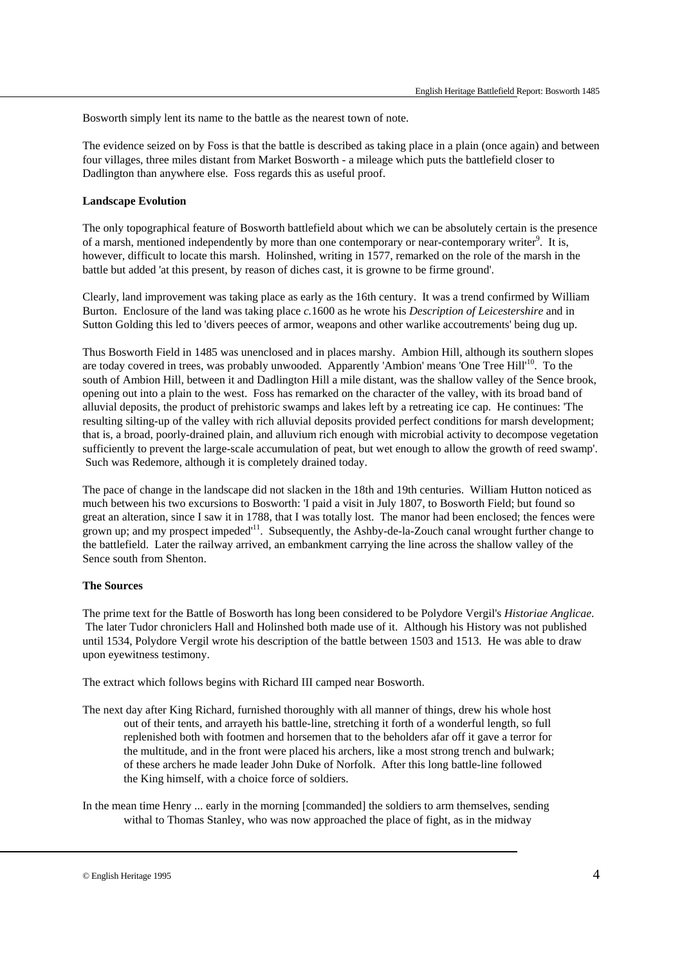Bosworth simply lent its name to the battle as the nearest town of note.

The evidence seized on by Foss is that the battle is described as taking place in a plain (once again) and between four villages, three miles distant from Market Bosworth - a mileage which puts the battlefield closer to Dadlington than anywhere else. Foss regards this as useful proof.

#### **Landscape Evolution**

The only topographical feature of Bosworth battlefield about which we can be absolutely certain is the presence of a marsh, mentioned independently by more than one contemporary or near-contemporary writer<sup>9</sup>. It is, however, difficult to locate this marsh. Holinshed, writing in 1577, remarked on the role of the marsh in the battle but added 'at this present, by reason of diches cast, it is growne to be firme ground'.

Clearly, land improvement was taking place as early as the 16th century. It was a trend confirmed by William Burton. Enclosure of the land was taking place *c.*1600 as he wrote his *Description of Leicestershire* and in Sutton Golding this led to 'divers peeces of armor, weapons and other warlike accoutrements' being dug up.

Thus Bosworth Field in 1485 was unenclosed and in places marshy. Ambion Hill, although its southern slopes are today covered in trees, was probably unwooded. Apparently 'Ambion' means 'One Tree Hill'<sup>10</sup>. To the south of Ambion Hill, between it and Dadlington Hill a mile distant, was the shallow valley of the Sence brook, opening out into a plain to the west. Foss has remarked on the character of the valley, with its broad band of alluvial deposits, the product of prehistoric swamps and lakes left by a retreating ice cap. He continues: 'The resulting silting-up of the valley with rich alluvial deposits provided perfect conditions for marsh development; that is, a broad, poorly-drained plain, and alluvium rich enough with microbial activity to decompose vegetation sufficiently to prevent the large-scale accumulation of peat, but wet enough to allow the growth of reed swamp'. Such was Redemore, although it is completely drained today.

The pace of change in the landscape did not slacken in the 18th and 19th centuries. William Hutton noticed as much between his two excursions to Bosworth: 'I paid a visit in July 1807, to Bosworth Field; but found so great an alteration, since I saw it in 1788, that I was totally lost. The manor had been enclosed; the fences were grown up; and my prospect impeded<sup>11</sup>. Subsequently, the Ashby-de-la-Zouch canal wrought further change to the battlefield. Later the railway arrived, an embankment carrying the line across the shallow valley of the Sence south from Shenton.

### **The Sources**

The prime text for the Battle of Bosworth has long been considered to be Polydore Vergil's *Historiae Anglicae*. The later Tudor chroniclers Hall and Holinshed both made use of it. Although his History was not published until 1534, Polydore Vergil wrote his description of the battle between 1503 and 1513. He was able to draw upon eyewitness testimony.

The extract which follows begins with Richard III camped near Bosworth.

- The next day after King Richard, furnished thoroughly with all manner of things, drew his whole host out of their tents, and arrayeth his battle-line, stretching it forth of a wonderful length, so full replenished both with footmen and horsemen that to the beholders afar off it gave a terror for the multitude, and in the front were placed his archers, like a most strong trench and bulwark; of these archers he made leader John Duke of Norfolk. After this long battle-line followed the King himself, with a choice force of soldiers.
- In the mean time Henry ... early in the morning [commanded] the soldiers to arm themselves, sending withal to Thomas Stanley, who was now approached the place of fight, as in the midway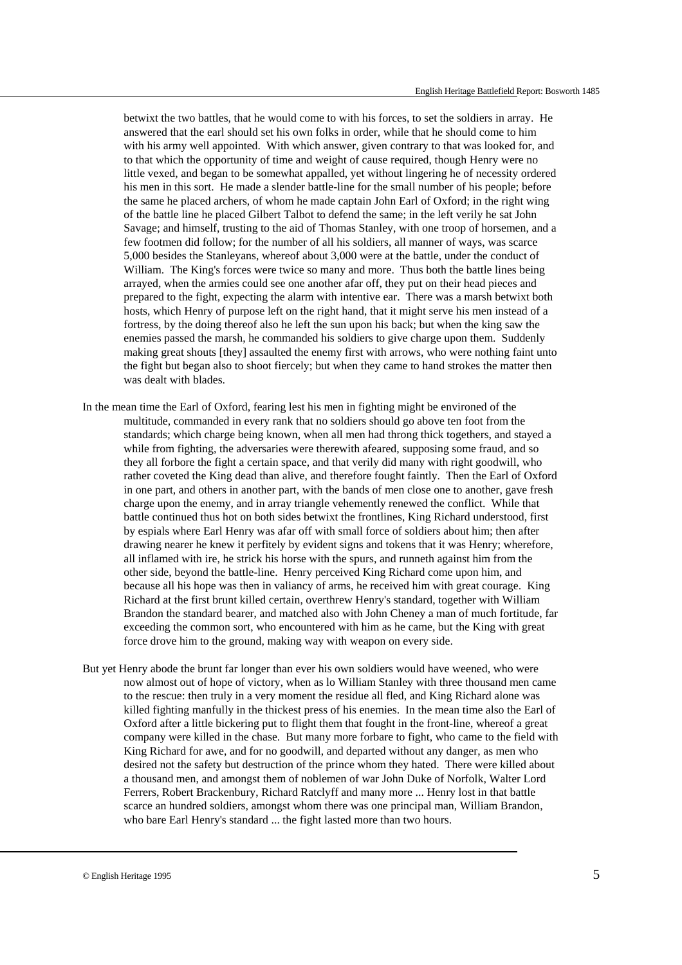betwixt the two battles, that he would come to with his forces, to set the soldiers in array. He answered that the earl should set his own folks in order, while that he should come to him with his army well appointed. With which answer, given contrary to that was looked for, and to that which the opportunity of time and weight of cause required, though Henry were no little vexed, and began to be somewhat appalled, yet without lingering he of necessity ordered his men in this sort. He made a slender battle-line for the small number of his people; before the same he placed archers, of whom he made captain John Earl of Oxford; in the right wing of the battle line he placed Gilbert Talbot to defend the same; in the left verily he sat John Savage; and himself, trusting to the aid of Thomas Stanley, with one troop of horsemen, and a few footmen did follow; for the number of all his soldiers, all manner of ways, was scarce 5,000 besides the Stanleyans, whereof about 3,000 were at the battle, under the conduct of William. The King's forces were twice so many and more. Thus both the battle lines being arrayed, when the armies could see one another afar off, they put on their head pieces and prepared to the fight, expecting the alarm with intentive ear. There was a marsh betwixt both hosts, which Henry of purpose left on the right hand, that it might serve his men instead of a fortress, by the doing thereof also he left the sun upon his back; but when the king saw the enemies passed the marsh, he commanded his soldiers to give charge upon them. Suddenly making great shouts [they] assaulted the enemy first with arrows, who were nothing faint unto the fight but began also to shoot fiercely; but when they came to hand strokes the matter then was dealt with blades.

- In the mean time the Earl of Oxford, fearing lest his men in fighting might be environed of the multitude, commanded in every rank that no soldiers should go above ten foot from the standards; which charge being known, when all men had throng thick togethers, and stayed a while from fighting, the adversaries were therewith afeared, supposing some fraud, and so they all forbore the fight a certain space, and that verily did many with right goodwill, who rather coveted the King dead than alive, and therefore fought faintly. Then the Earl of Oxford in one part, and others in another part, with the bands of men close one to another, gave fresh charge upon the enemy, and in array triangle vehemently renewed the conflict. While that battle continued thus hot on both sides betwixt the frontlines, King Richard understood, first by espials where Earl Henry was afar off with small force of soldiers about him; then after drawing nearer he knew it perfitely by evident signs and tokens that it was Henry; wherefore, all inflamed with ire, he strick his horse with the spurs, and runneth against him from the other side, beyond the battle-line. Henry perceived King Richard come upon him, and because all his hope was then in valiancy of arms, he received him with great courage. King Richard at the first brunt killed certain, overthrew Henry's standard, together with William Brandon the standard bearer, and matched also with John Cheney a man of much fortitude, far exceeding the common sort, who encountered with him as he came, but the King with great force drove him to the ground, making way with weapon on every side.
- But yet Henry abode the brunt far longer than ever his own soldiers would have weened, who were now almost out of hope of victory, when as lo William Stanley with three thousand men came to the rescue: then truly in a very moment the residue all fled, and King Richard alone was killed fighting manfully in the thickest press of his enemies. In the mean time also the Earl of Oxford after a little bickering put to flight them that fought in the front-line, whereof a great company were killed in the chase. But many more forbare to fight, who came to the field with King Richard for awe, and for no goodwill, and departed without any danger, as men who desired not the safety but destruction of the prince whom they hated. There were killed about a thousand men, and amongst them of noblemen of war John Duke of Norfolk, Walter Lord Ferrers, Robert Brackenbury, Richard Ratclyff and many more ... Henry lost in that battle scarce an hundred soldiers, amongst whom there was one principal man, William Brandon, who bare Earl Henry's standard ... the fight lasted more than two hours.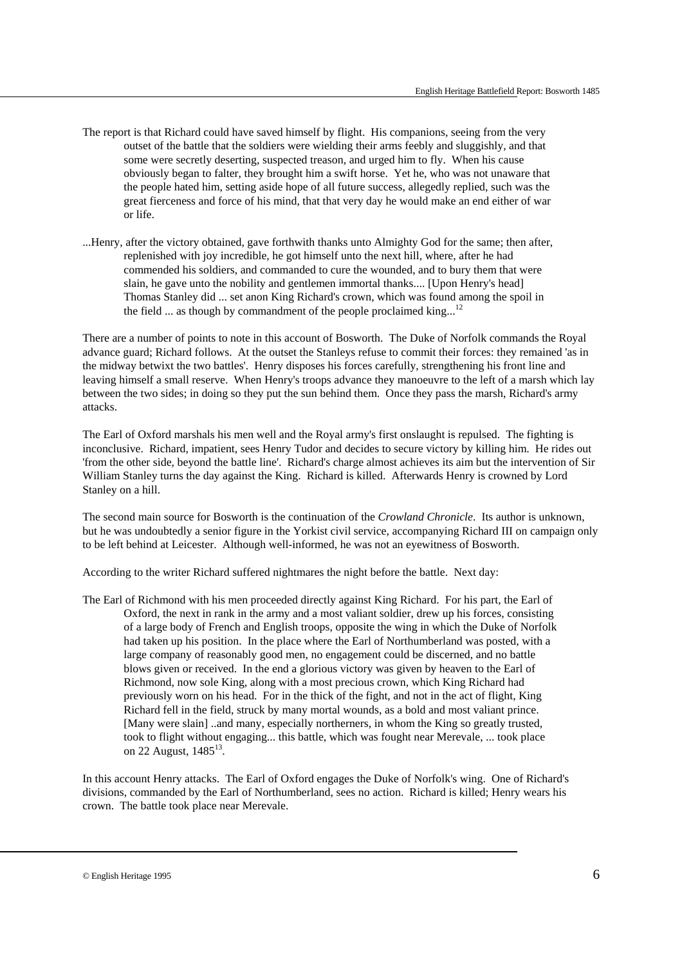- The report is that Richard could have saved himself by flight. His companions, seeing from the very outset of the battle that the soldiers were wielding their arms feebly and sluggishly, and that some were secretly deserting, suspected treason, and urged him to fly. When his cause obviously began to falter, they brought him a swift horse. Yet he, who was not unaware that the people hated him, setting aside hope of all future success, allegedly replied, such was the great fierceness and force of his mind, that that very day he would make an end either of war or life.
- ...Henry, after the victory obtained, gave forthwith thanks unto Almighty God for the same; then after, replenished with joy incredible, he got himself unto the next hill, where, after he had commended his soldiers, and commanded to cure the wounded, and to bury them that were slain, he gave unto the nobility and gentlemen immortal thanks.... [Upon Henry's head] Thomas Stanley did ... set anon King Richard's crown, which was found among the spoil in the field  $\ldots$  as though by commandment of the people proclaimed king...<sup>12</sup>

There are a number of points to note in this account of Bosworth. The Duke of Norfolk commands the Royal advance guard; Richard follows. At the outset the Stanleys refuse to commit their forces: they remained 'as in the midway betwixt the two battles'. Henry disposes his forces carefully, strengthening his front line and leaving himself a small reserve. When Henry's troops advance they manoeuvre to the left of a marsh which lay between the two sides; in doing so they put the sun behind them. Once they pass the marsh, Richard's army attacks.

The Earl of Oxford marshals his men well and the Royal army's first onslaught is repulsed. The fighting is inconclusive. Richard, impatient, sees Henry Tudor and decides to secure victory by killing him. He rides out 'from the other side, beyond the battle line'. Richard's charge almost achieves its aim but the intervention of Sir William Stanley turns the day against the King. Richard is killed. Afterwards Henry is crowned by Lord Stanley on a hill.

The second main source for Bosworth is the continuation of the *Crowland Chronicle*. Its author is unknown, but he was undoubtedly a senior figure in the Yorkist civil service, accompanying Richard III on campaign only to be left behind at Leicester. Although well-informed, he was not an eyewitness of Bosworth.

According to the writer Richard suffered nightmares the night before the battle. Next day:

The Earl of Richmond with his men proceeded directly against King Richard. For his part, the Earl of Oxford, the next in rank in the army and a most valiant soldier, drew up his forces, consisting of a large body of French and English troops, opposite the wing in which the Duke of Norfolk had taken up his position. In the place where the Earl of Northumberland was posted, with a large company of reasonably good men, no engagement could be discerned, and no battle blows given or received. In the end a glorious victory was given by heaven to the Earl of Richmond, now sole King, along with a most precious crown, which King Richard had previously worn on his head. For in the thick of the fight, and not in the act of flight, King Richard fell in the field, struck by many mortal wounds, as a bold and most valiant prince. [Many were slain] ..and many, especially northerners, in whom the King so greatly trusted, took to flight without engaging... this battle, which was fought near Merevale, ... took place on 22 August, 1485<sup>13</sup>.

In this account Henry attacks. The Earl of Oxford engages the Duke of Norfolk's wing. One of Richard's divisions, commanded by the Earl of Northumberland, sees no action. Richard is killed; Henry wears his crown. The battle took place near Merevale.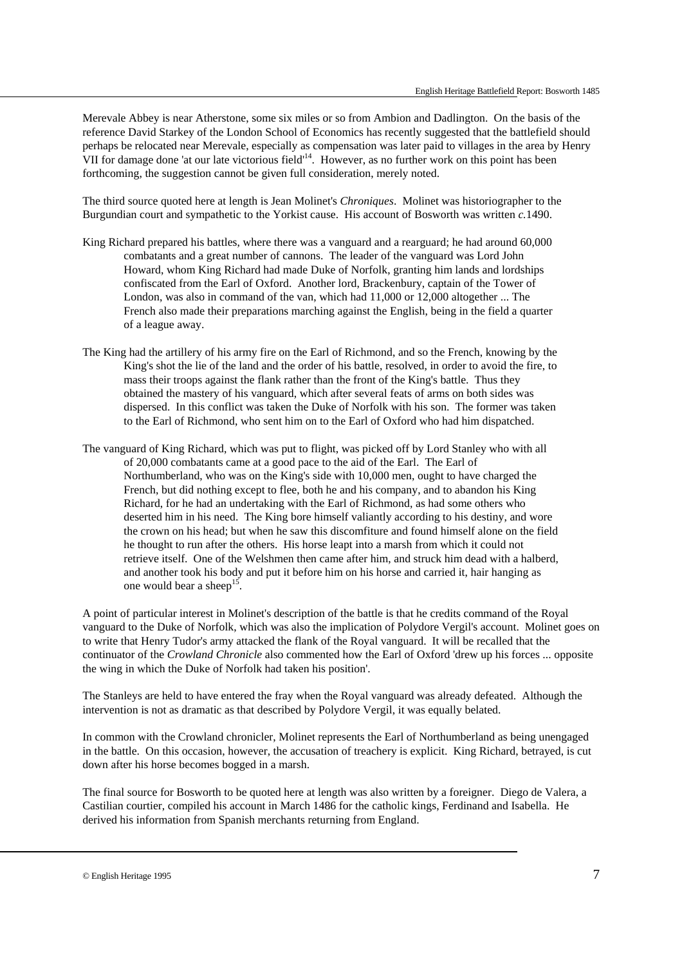Merevale Abbey is near Atherstone, some six miles or so from Ambion and Dadlington. On the basis of the reference David Starkey of the London School of Economics has recently suggested that the battlefield should perhaps be relocated near Merevale, especially as compensation was later paid to villages in the area by Henry VII for damage done 'at our late victorious field'14. However, as no further work on this point has been forthcoming, the suggestion cannot be given full consideration, merely noted.

The third source quoted here at length is Jean Molinet's *Chroniques*. Molinet was historiographer to the Burgundian court and sympathetic to the Yorkist cause. His account of Bosworth was written *c.*1490.

- King Richard prepared his battles, where there was a vanguard and a rearguard; he had around 60,000 combatants and a great number of cannons. The leader of the vanguard was Lord John Howard, whom King Richard had made Duke of Norfolk, granting him lands and lordships confiscated from the Earl of Oxford. Another lord, Brackenbury, captain of the Tower of London, was also in command of the van, which had 11,000 or 12,000 altogether ... The French also made their preparations marching against the English, being in the field a quarter of a league away.
- The King had the artillery of his army fire on the Earl of Richmond, and so the French, knowing by the King's shot the lie of the land and the order of his battle, resolved, in order to avoid the fire, to mass their troops against the flank rather than the front of the King's battle. Thus they obtained the mastery of his vanguard, which after several feats of arms on both sides was dispersed. In this conflict was taken the Duke of Norfolk with his son. The former was taken to the Earl of Richmond, who sent him on to the Earl of Oxford who had him dispatched.
- The vanguard of King Richard, which was put to flight, was picked off by Lord Stanley who with all of 20,000 combatants came at a good pace to the aid of the Earl. The Earl of Northumberland, who was on the King's side with 10,000 men, ought to have charged the French, but did nothing except to flee, both he and his company, and to abandon his King Richard, for he had an undertaking with the Earl of Richmond, as had some others who deserted him in his need. The King bore himself valiantly according to his destiny, and wore the crown on his head; but when he saw this discomfiture and found himself alone on the field he thought to run after the others. His horse leapt into a marsh from which it could not retrieve itself. One of the Welshmen then came after him, and struck him dead with a halberd, and another took his body and put it before him on his horse and carried it, hair hanging as one would bear a sheep<sup>15</sup>.

A point of particular interest in Molinet's description of the battle is that he credits command of the Royal vanguard to the Duke of Norfolk, which was also the implication of Polydore Vergil's account. Molinet goes on to write that Henry Tudor's army attacked the flank of the Royal vanguard. It will be recalled that the continuator of the *Crowland Chronicle* also commented how the Earl of Oxford 'drew up his forces ... opposite the wing in which the Duke of Norfolk had taken his position'.

The Stanleys are held to have entered the fray when the Royal vanguard was already defeated. Although the intervention is not as dramatic as that described by Polydore Vergil, it was equally belated.

In common with the Crowland chronicler, Molinet represents the Earl of Northumberland as being unengaged in the battle. On this occasion, however, the accusation of treachery is explicit. King Richard, betrayed, is cut down after his horse becomes bogged in a marsh.

The final source for Bosworth to be quoted here at length was also written by a foreigner. Diego de Valera, a Castilian courtier, compiled his account in March 1486 for the catholic kings, Ferdinand and Isabella. He derived his information from Spanish merchants returning from England.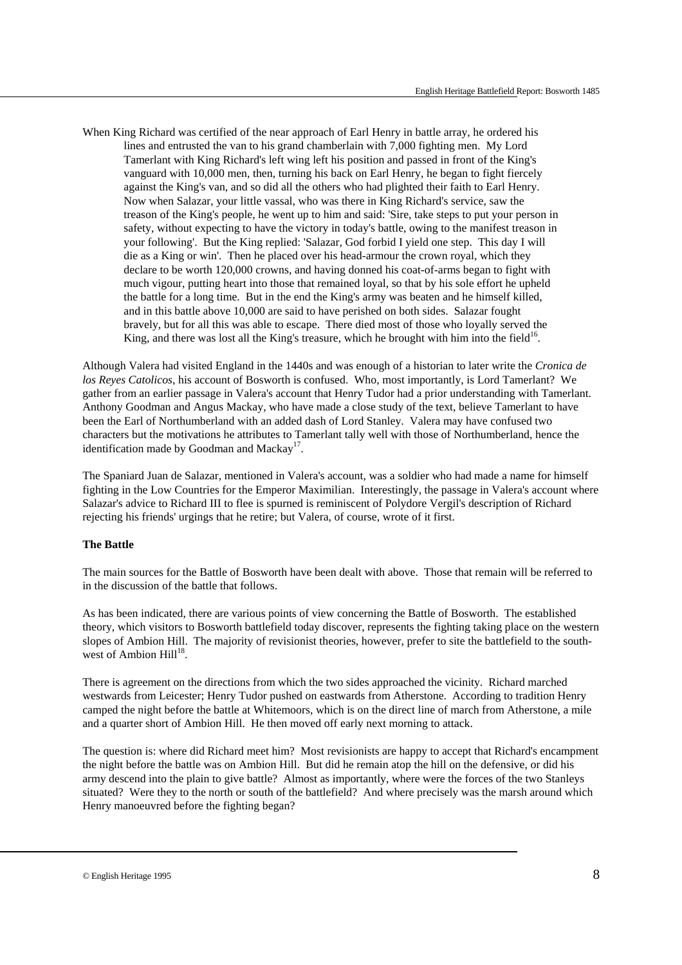When King Richard was certified of the near approach of Earl Henry in battle array, he ordered his lines and entrusted the van to his grand chamberlain with 7,000 fighting men. My Lord Tamerlant with King Richard's left wing left his position and passed in front of the King's vanguard with 10,000 men, then, turning his back on Earl Henry, he began to fight fiercely against the King's van, and so did all the others who had plighted their faith to Earl Henry. Now when Salazar, your little vassal, who was there in King Richard's service, saw the treason of the King's people, he went up to him and said: 'Sire, take steps to put your person in safety, without expecting to have the victory in today's battle, owing to the manifest treason in your following'. But the King replied: 'Salazar, God forbid I yield one step. This day I will die as a King or win'. Then he placed over his head-armour the crown royal, which they declare to be worth 120,000 crowns, and having donned his coat-of-arms began to fight with much vigour, putting heart into those that remained loyal, so that by his sole effort he upheld the battle for a long time. But in the end the King's army was beaten and he himself killed, and in this battle above 10,000 are said to have perished on both sides. Salazar fought bravely, but for all this was able to escape. There died most of those who loyally served the King, and there was lost all the King's treasure, which he brought with him into the field<sup>16</sup>.

Although Valera had visited England in the 1440s and was enough of a historian to later write the *Cronica de los Reyes Catolicos*, his account of Bosworth is confused. Who, most importantly, is Lord Tamerlant? We gather from an earlier passage in Valera's account that Henry Tudor had a prior understanding with Tamerlant. Anthony Goodman and Angus Mackay, who have made a close study of the text, believe Tamerlant to have been the Earl of Northumberland with an added dash of Lord Stanley. Valera may have confused two characters but the motivations he attributes to Tamerlant tally well with those of Northumberland, hence the identification made by Goodman and Mackay<sup>17</sup>.

The Spaniard Juan de Salazar, mentioned in Valera's account, was a soldier who had made a name for himself fighting in the Low Countries for the Emperor Maximilian. Interestingly, the passage in Valera's account where Salazar's advice to Richard III to flee is spurned is reminiscent of Polydore Vergil's description of Richard rejecting his friends' urgings that he retire; but Valera, of course, wrote of it first.

## **The Battle**

The main sources for the Battle of Bosworth have been dealt with above. Those that remain will be referred to in the discussion of the battle that follows.

As has been indicated, there are various points of view concerning the Battle of Bosworth. The established theory, which visitors to Bosworth battlefield today discover, represents the fighting taking place on the western slopes of Ambion Hill. The majority of revisionist theories, however, prefer to site the battlefield to the southwest of Ambion Hill<sup>18</sup>.

There is agreement on the directions from which the two sides approached the vicinity. Richard marched westwards from Leicester; Henry Tudor pushed on eastwards from Atherstone. According to tradition Henry camped the night before the battle at Whitemoors, which is on the direct line of march from Atherstone, a mile and a quarter short of Ambion Hill. He then moved off early next morning to attack.

The question is: where did Richard meet him? Most revisionists are happy to accept that Richard's encampment the night before the battle was on Ambion Hill. But did he remain atop the hill on the defensive, or did his army descend into the plain to give battle? Almost as importantly, where were the forces of the two Stanleys situated? Were they to the north or south of the battlefield? And where precisely was the marsh around which Henry manoeuvred before the fighting began?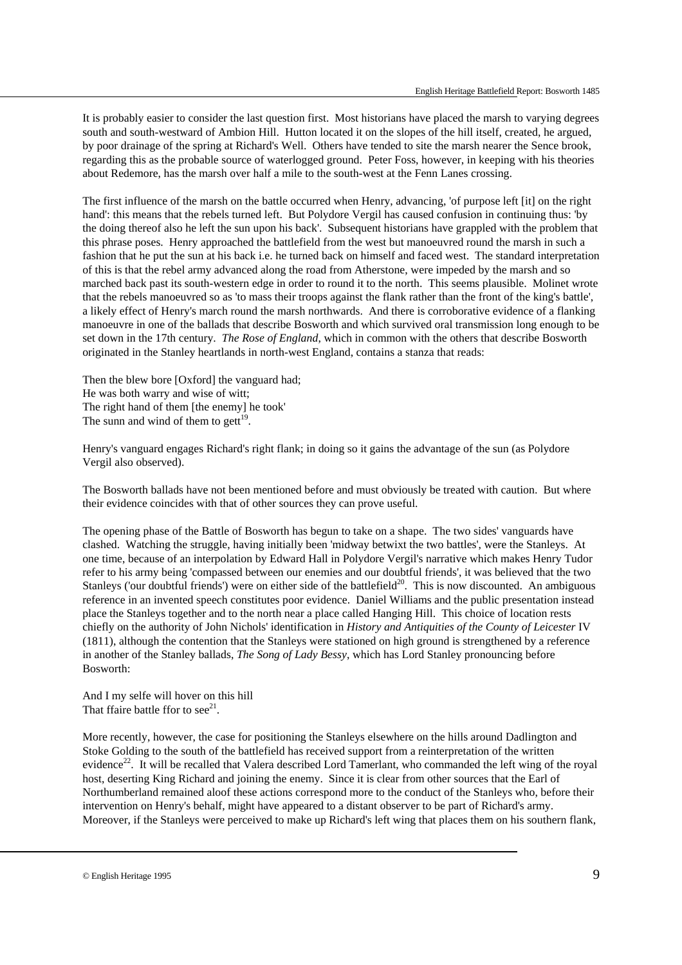It is probably easier to consider the last question first. Most historians have placed the marsh to varying degrees south and south-westward of Ambion Hill. Hutton located it on the slopes of the hill itself, created, he argued, by poor drainage of the spring at Richard's Well. Others have tended to site the marsh nearer the Sence brook, regarding this as the probable source of waterlogged ground. Peter Foss, however, in keeping with his theories about Redemore, has the marsh over half a mile to the south-west at the Fenn Lanes crossing.

The first influence of the marsh on the battle occurred when Henry, advancing, 'of purpose left [it] on the right hand': this means that the rebels turned left. But Polydore Vergil has caused confusion in continuing thus: 'by the doing thereof also he left the sun upon his back'. Subsequent historians have grappled with the problem that this phrase poses. Henry approached the battlefield from the west but manoeuvred round the marsh in such a fashion that he put the sun at his back i.e. he turned back on himself and faced west. The standard interpretation of this is that the rebel army advanced along the road from Atherstone, were impeded by the marsh and so marched back past its south-western edge in order to round it to the north. This seems plausible. Molinet wrote that the rebels manoeuvred so as 'to mass their troops against the flank rather than the front of the king's battle', a likely effect of Henry's march round the marsh northwards. And there is corroborative evidence of a flanking manoeuvre in one of the ballads that describe Bosworth and which survived oral transmission long enough to be set down in the 17th century. *The Rose of England*, which in common with the others that describe Bosworth originated in the Stanley heartlands in north-west England, contains a stanza that reads:

Then the blew bore [Oxford] the vanguard had; He was both warry and wise of witt; The right hand of them [the enemy] he took' The sunn and wind of them to gett<sup>19</sup>.

Henry's vanguard engages Richard's right flank; in doing so it gains the advantage of the sun (as Polydore Vergil also observed).

The Bosworth ballads have not been mentioned before and must obviously be treated with caution. But where their evidence coincides with that of other sources they can prove useful.

The opening phase of the Battle of Bosworth has begun to take on a shape. The two sides' vanguards have clashed. Watching the struggle, having initially been 'midway betwixt the two battles', were the Stanleys. At one time, because of an interpolation by Edward Hall in Polydore Vergil's narrative which makes Henry Tudor refer to his army being 'compassed between our enemies and our doubtful friends', it was believed that the two Stanleys ('our doubtful friends') were on either side of the battlefield<sup>20</sup>. This is now discounted. An ambiguous reference in an invented speech constitutes poor evidence. Daniel Williams and the public presentation instead place the Stanleys together and to the north near a place called Hanging Hill. This choice of location rests chiefly on the authority of John Nichols' identification in *History and Antiquities of the County of Leicester* IV (1811), although the contention that the Stanleys were stationed on high ground is strengthened by a reference in another of the Stanley ballads, *The Song of Lady Bessy*, which has Lord Stanley pronouncing before Bosworth:

And I my selfe will hover on this hill That ffaire battle ffor to see $^{21}$ .

More recently, however, the case for positioning the Stanleys elsewhere on the hills around Dadlington and Stoke Golding to the south of the battlefield has received support from a reinterpretation of the written evidence<sup>22</sup>. It will be recalled that Valera described Lord Tamerlant, who commanded the left wing of the royal host, deserting King Richard and joining the enemy. Since it is clear from other sources that the Earl of Northumberland remained aloof these actions correspond more to the conduct of the Stanleys who, before their intervention on Henry's behalf, might have appeared to a distant observer to be part of Richard's army. Moreover, if the Stanleys were perceived to make up Richard's left wing that places them on his southern flank,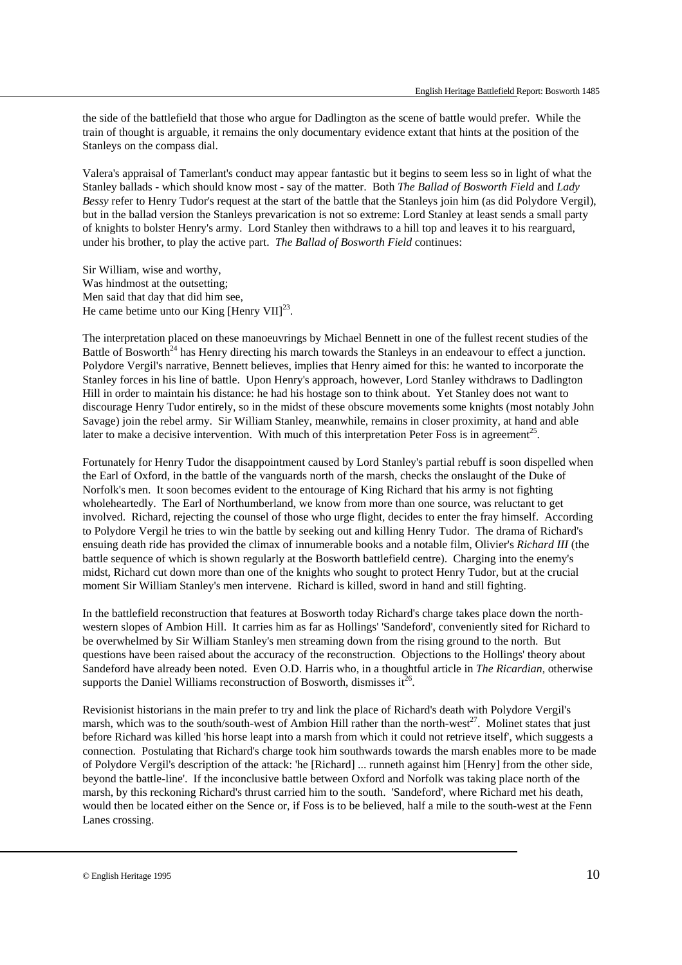the side of the battlefield that those who argue for Dadlington as the scene of battle would prefer. While the train of thought is arguable, it remains the only documentary evidence extant that hints at the position of the Stanleys on the compass dial.

Valera's appraisal of Tamerlant's conduct may appear fantastic but it begins to seem less so in light of what the Stanley ballads - which should know most - say of the matter. Both *The Ballad of Bosworth Field* and *Lady Bessy* refer to Henry Tudor's request at the start of the battle that the Stanleys join him (as did Polydore Vergil), but in the ballad version the Stanleys prevarication is not so extreme: Lord Stanley at least sends a small party of knights to bolster Henry's army. Lord Stanley then withdraws to a hill top and leaves it to his rearguard, under his brother, to play the active part. *The Ballad of Bosworth Field* continues:

Sir William, wise and worthy, Was hindmost at the outsetting; Men said that day that did him see, He came betime unto our King  $\left[\text{Henry VIII}\right]^{23}$ .

The interpretation placed on these manoeuvrings by Michael Bennett in one of the fullest recent studies of the Battle of Bosworth<sup>24</sup> has Henry directing his march towards the Stanleys in an endeavour to effect a junction. Polydore Vergil's narrative, Bennett believes, implies that Henry aimed for this: he wanted to incorporate the Stanley forces in his line of battle. Upon Henry's approach, however, Lord Stanley withdraws to Dadlington Hill in order to maintain his distance: he had his hostage son to think about. Yet Stanley does not want to discourage Henry Tudor entirely, so in the midst of these obscure movements some knights (most notably John Savage) join the rebel army. Sir William Stanley, meanwhile, remains in closer proximity, at hand and able later to make a decisive intervention. With much of this interpretation Peter Foss is in agreement<sup>25</sup>.

Fortunately for Henry Tudor the disappointment caused by Lord Stanley's partial rebuff is soon dispelled when the Earl of Oxford, in the battle of the vanguards north of the marsh, checks the onslaught of the Duke of Norfolk's men. It soon becomes evident to the entourage of King Richard that his army is not fighting wholeheartedly. The Earl of Northumberland, we know from more than one source, was reluctant to get involved. Richard, rejecting the counsel of those who urge flight, decides to enter the fray himself. According to Polydore Vergil he tries to win the battle by seeking out and killing Henry Tudor. The drama of Richard's ensuing death ride has provided the climax of innumerable books and a notable film, Olivier's *Richard III* (the battle sequence of which is shown regularly at the Bosworth battlefield centre). Charging into the enemy's midst, Richard cut down more than one of the knights who sought to protect Henry Tudor, but at the crucial moment Sir William Stanley's men intervene. Richard is killed, sword in hand and still fighting.

In the battlefield reconstruction that features at Bosworth today Richard's charge takes place down the northwestern slopes of Ambion Hill. It carries him as far as Hollings' 'Sandeford', conveniently sited for Richard to be overwhelmed by Sir William Stanley's men streaming down from the rising ground to the north. But questions have been raised about the accuracy of the reconstruction. Objections to the Hollings' theory about Sandeford have already been noted. Even O.D. Harris who, in a thoughtful article in *The Ricardian*, otherwise supports the Daniel Williams reconstruction of Bosworth, dismisses it<sup>26</sup>.

Revisionist historians in the main prefer to try and link the place of Richard's death with Polydore Vergil's marsh, which was to the south/south-west of Ambion Hill rather than the north-west<sup>27</sup>. Molinet states that just before Richard was killed 'his horse leapt into a marsh from which it could not retrieve itself', which suggests a connection. Postulating that Richard's charge took him southwards towards the marsh enables more to be made of Polydore Vergil's description of the attack: 'he [Richard] ... runneth against him [Henry] from the other side, beyond the battle-line'. If the inconclusive battle between Oxford and Norfolk was taking place north of the marsh, by this reckoning Richard's thrust carried him to the south. 'Sandeford', where Richard met his death, would then be located either on the Sence or, if Foss is to be believed, half a mile to the south-west at the Fenn Lanes crossing.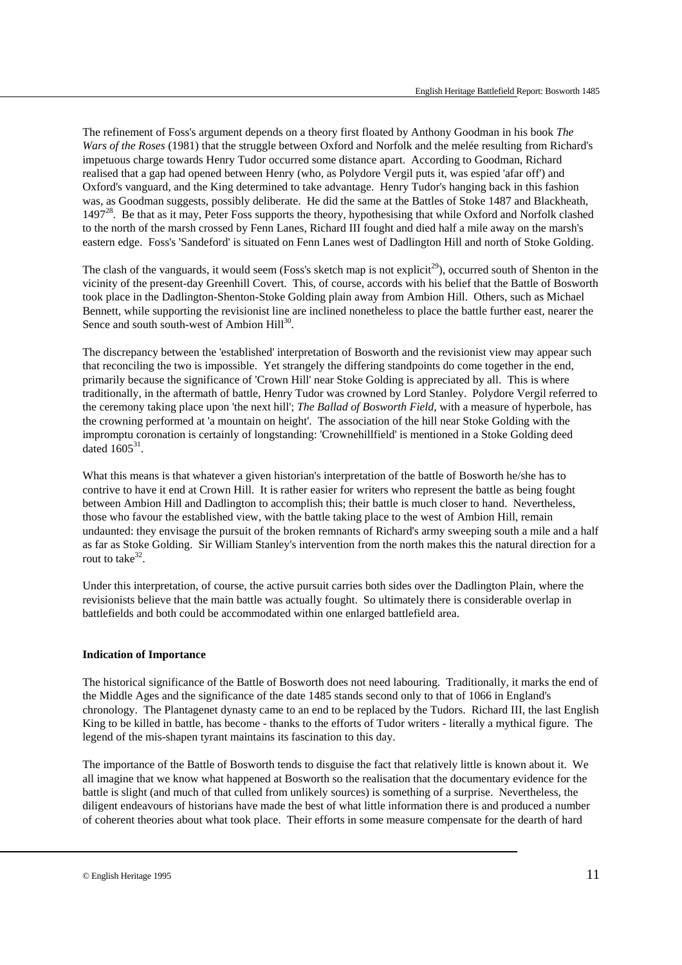The refinement of Foss's argument depends on a theory first floated by Anthony Goodman in his book *The Wars of the Roses* (1981) that the struggle between Oxford and Norfolk and the melée resulting from Richard's impetuous charge towards Henry Tudor occurred some distance apart. According to Goodman, Richard realised that a gap had opened between Henry (who, as Polydore Vergil puts it, was espied 'afar off') and Oxford's vanguard, and the King determined to take advantage. Henry Tudor's hanging back in this fashion was, as Goodman suggests, possibly deliberate. He did the same at the Battles of Stoke 1487 and Blackheath, 149728. Be that as it may, Peter Foss supports the theory, hypothesising that while Oxford and Norfolk clashed to the north of the marsh crossed by Fenn Lanes, Richard III fought and died half a mile away on the marsh's eastern edge. Foss's 'Sandeford' is situated on Fenn Lanes west of Dadlington Hill and north of Stoke Golding.

The clash of the vanguards, it would seem (Foss's sketch map is not explicit<sup>29</sup>), occurred south of Shenton in the vicinity of the present-day Greenhill Covert. This, of course, accords with his belief that the Battle of Bosworth took place in the Dadlington-Shenton-Stoke Golding plain away from Ambion Hill. Others, such as Michael Bennett, while supporting the revisionist line are inclined nonetheless to place the battle further east, nearer the Sence and south south-west of Ambion Hill<sup>30</sup>.

The discrepancy between the 'established' interpretation of Bosworth and the revisionist view may appear such that reconciling the two is impossible. Yet strangely the differing standpoints do come together in the end, primarily because the significance of 'Crown Hill' near Stoke Golding is appreciated by all. This is where traditionally, in the aftermath of battle, Henry Tudor was crowned by Lord Stanley. Polydore Vergil referred to the ceremony taking place upon 'the next hill'; *The Ballad of Bosworth Field*, with a measure of hyperbole, has the crowning performed at 'a mountain on height'. The association of the hill near Stoke Golding with the impromptu coronation is certainly of longstanding: 'Crownehillfield' is mentioned in a Stoke Golding deed dated  $1605^{31}$ .

What this means is that whatever a given historian's interpretation of the battle of Bosworth he/she has to contrive to have it end at Crown Hill. It is rather easier for writers who represent the battle as being fought between Ambion Hill and Dadlington to accomplish this; their battle is much closer to hand. Nevertheless, those who favour the established view, with the battle taking place to the west of Ambion Hill, remain undaunted: they envisage the pursuit of the broken remnants of Richard's army sweeping south a mile and a half as far as Stoke Golding. Sir William Stanley's intervention from the north makes this the natural direction for a rout to take $32$ .

Under this interpretation, of course, the active pursuit carries both sides over the Dadlington Plain, where the revisionists believe that the main battle was actually fought. So ultimately there is considerable overlap in battlefields and both could be accommodated within one enlarged battlefield area.

#### **Indication of Importance**

The historical significance of the Battle of Bosworth does not need labouring. Traditionally, it marks the end of the Middle Ages and the significance of the date 1485 stands second only to that of 1066 in England's chronology. The Plantagenet dynasty came to an end to be replaced by the Tudors. Richard III, the last English King to be killed in battle, has become - thanks to the efforts of Tudor writers - literally a mythical figure. The legend of the mis-shapen tyrant maintains its fascination to this day.

The importance of the Battle of Bosworth tends to disguise the fact that relatively little is known about it. We all imagine that we know what happened at Bosworth so the realisation that the documentary evidence for the battle is slight (and much of that culled from unlikely sources) is something of a surprise. Nevertheless, the diligent endeavours of historians have made the best of what little information there is and produced a number of coherent theories about what took place. Their efforts in some measure compensate for the dearth of hard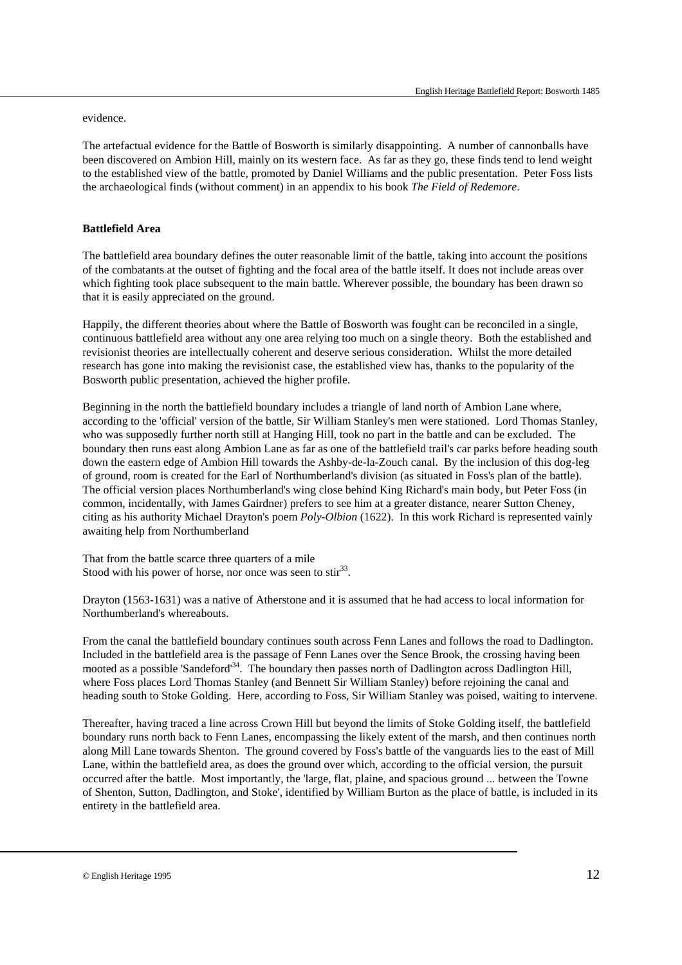evidence.

The artefactual evidence for the Battle of Bosworth is similarly disappointing. A number of cannonballs have been discovered on Ambion Hill, mainly on its western face. As far as they go, these finds tend to lend weight to the established view of the battle, promoted by Daniel Williams and the public presentation. Peter Foss lists the archaeological finds (without comment) in an appendix to his book *The Field of Redemore*.

# **Battlefield Area**

The battlefield area boundary defines the outer reasonable limit of the battle, taking into account the positions of the combatants at the outset of fighting and the focal area of the battle itself. It does not include areas over which fighting took place subsequent to the main battle. Wherever possible, the boundary has been drawn so that it is easily appreciated on the ground.

Happily, the different theories about where the Battle of Bosworth was fought can be reconciled in a single, continuous battlefield area without any one area relying too much on a single theory. Both the established and revisionist theories are intellectually coherent and deserve serious consideration. Whilst the more detailed research has gone into making the revisionist case, the established view has, thanks to the popularity of the Bosworth public presentation, achieved the higher profile.

Beginning in the north the battlefield boundary includes a triangle of land north of Ambion Lane where, according to the 'official' version of the battle, Sir William Stanley's men were stationed. Lord Thomas Stanley, who was supposedly further north still at Hanging Hill, took no part in the battle and can be excluded. The boundary then runs east along Ambion Lane as far as one of the battlefield trail's car parks before heading south down the eastern edge of Ambion Hill towards the Ashby-de-la-Zouch canal. By the inclusion of this dog-leg of ground, room is created for the Earl of Northumberland's division (as situated in Foss's plan of the battle). The official version places Northumberland's wing close behind King Richard's main body, but Peter Foss (in common, incidentally, with James Gairdner) prefers to see him at a greater distance, nearer Sutton Cheney, citing as his authority Michael Drayton's poem *Poly-Olbion* (1622). In this work Richard is represented vainly awaiting help from Northumberland

That from the battle scarce three quarters of a mile Stood with his power of horse, nor once was seen to  $\sin^{33}$ .

Drayton (1563-1631) was a native of Atherstone and it is assumed that he had access to local information for Northumberland's whereabouts.

From the canal the battlefield boundary continues south across Fenn Lanes and follows the road to Dadlington. Included in the battlefield area is the passage of Fenn Lanes over the Sence Brook, the crossing having been mooted as a possible 'Sandeford<sup>34</sup>. The boundary then passes north of Dadlington across Dadlington Hill, where Foss places Lord Thomas Stanley (and Bennett Sir William Stanley) before rejoining the canal and heading south to Stoke Golding. Here, according to Foss, Sir William Stanley was poised, waiting to intervene.

Thereafter, having traced a line across Crown Hill but beyond the limits of Stoke Golding itself, the battlefield boundary runs north back to Fenn Lanes, encompassing the likely extent of the marsh, and then continues north along Mill Lane towards Shenton. The ground covered by Foss's battle of the vanguards lies to the east of Mill Lane, within the battlefield area, as does the ground over which, according to the official version, the pursuit occurred after the battle. Most importantly, the 'large, flat, plaine, and spacious ground ... between the Towne of Shenton, Sutton, Dadlington, and Stoke', identified by William Burton as the place of battle, is included in its entirety in the battlefield area.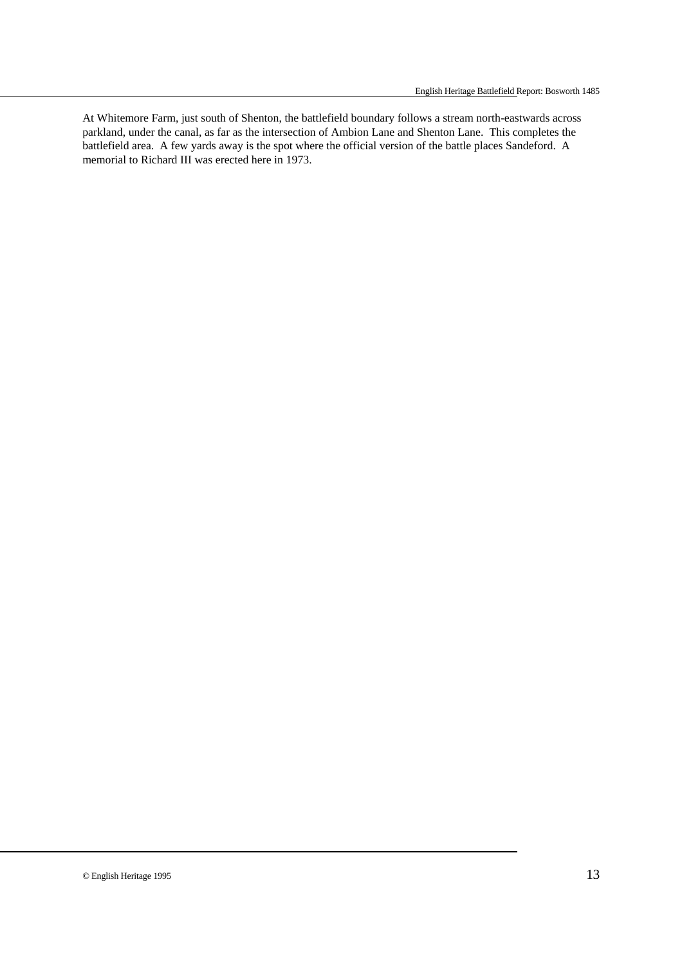At Whitemore Farm, just south of Shenton, the battlefield boundary follows a stream north-eastwards across parkland, under the canal, as far as the intersection of Ambion Lane and Shenton Lane. This completes the battlefield area. A few yards away is the spot where the official version of the battle places Sandeford. A memorial to Richard III was erected here in 1973.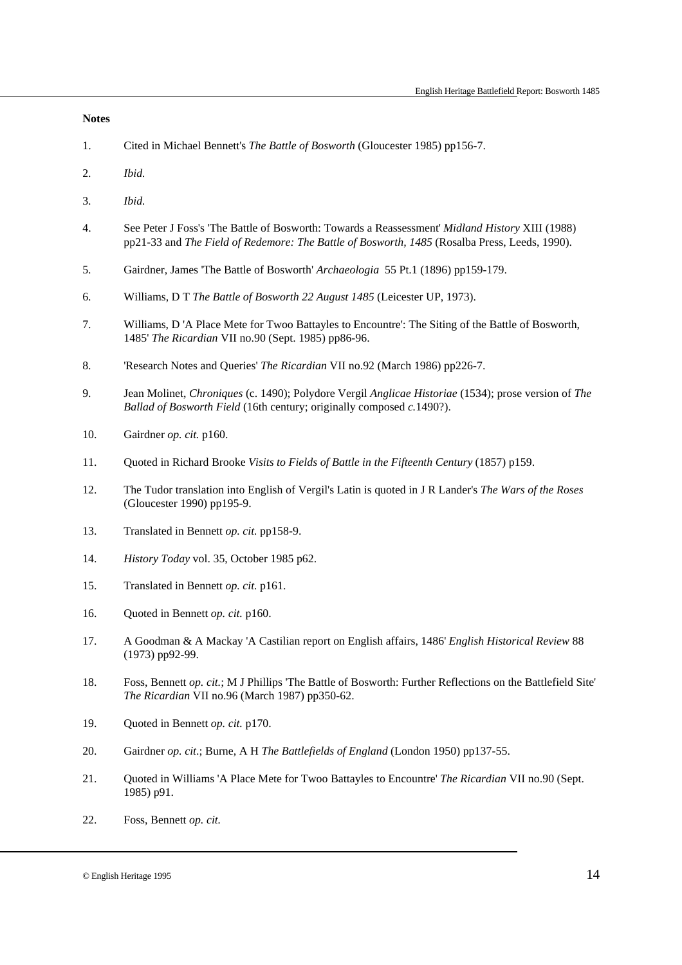#### **Notes**

- 1. Cited in Michael Bennett's *The Battle of Bosworth* (Gloucester 1985) pp156-7.
- 2. *Ibid.*
- 3. *Ibid.*
- 4. See Peter J Foss's 'The Battle of Bosworth: Towards a Reassessment' *Midland History* XIII (1988) pp21-33 and *The Field of Redemore: The Battle of Bosworth, 1485* (Rosalba Press, Leeds, 1990).
- 5. Gairdner, James 'The Battle of Bosworth' *Archaeologia* 55 Pt.1 (1896) pp159-179.
- 6. Williams, D T *The Battle of Bosworth 22 August 1485* (Leicester UP, 1973).
- 7. Williams, D 'A Place Mete for Twoo Battayles to Encountre': The Siting of the Battle of Bosworth, 1485' *The Ricardian* VII no.90 (Sept. 1985) pp86-96.
- 8. 'Research Notes and Queries' *The Ricardian* VII no.92 (March 1986) pp226-7.
- 9. Jean Molinet, *Chroniques* (c. 1490); Polydore Vergil *Anglicae Historiae* (1534); prose version of *The Ballad of Bosworth Field* (16th century; originally composed *c.*1490?).
- 10. Gairdner *op. cit.* p160.
- 11. Quoted in Richard Brooke *Visits to Fields of Battle in the Fifteenth Century* (1857) p159.
- 12. The Tudor translation into English of Vergil's Latin is quoted in J R Lander's *The Wars of the Roses*  (Gloucester 1990) pp195-9.
- 13. Translated in Bennett *op. cit.* pp158-9.
- 14. *History Today* vol. 35, October 1985 p62.
- 15. Translated in Bennett *op. cit.* p161.
- 16. Quoted in Bennett *op. cit.* p160.
- 17. A Goodman & A Mackay 'A Castilian report on English affairs, 1486' *English Historical Review* 88 (1973) pp92-99.
- 18. Foss, Bennett *op. cit.*; M J Phillips 'The Battle of Bosworth: Further Reflections on the Battlefield Site' *The Ricardian* VII no.96 (March 1987) pp350-62.
- 19. Quoted in Bennett *op. cit.* p170.
- 20. Gairdner *op. cit*.; Burne, A H *The Battlefields of England* (London 1950) pp137-55.
- 21. Quoted in Williams 'A Place Mete for Twoo Battayles to Encountre' *The Ricardian* VII no.90 (Sept. 1985) p91.
- 22. Foss, Bennett *op. cit.*